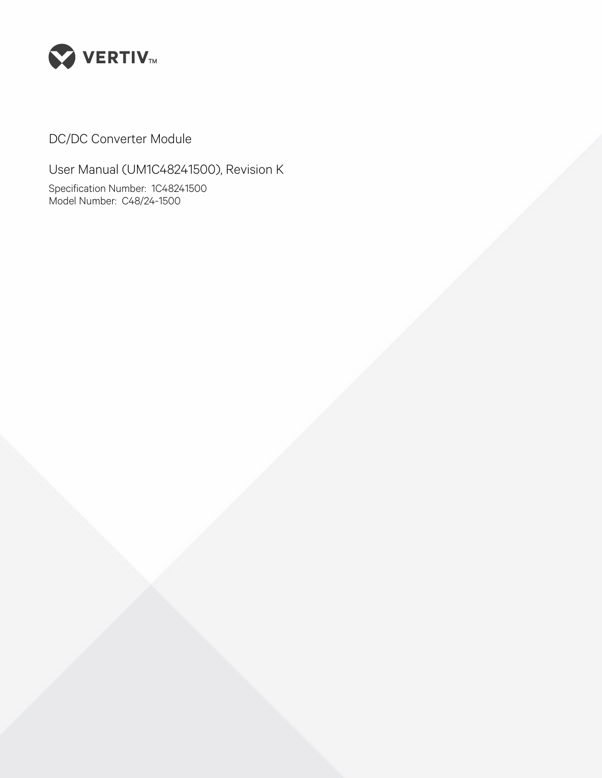

DC/DC Converter Module

User Manual (UM1C48241500), Revision K Specification Number: 1C48241500 Model Number: C48/24-1500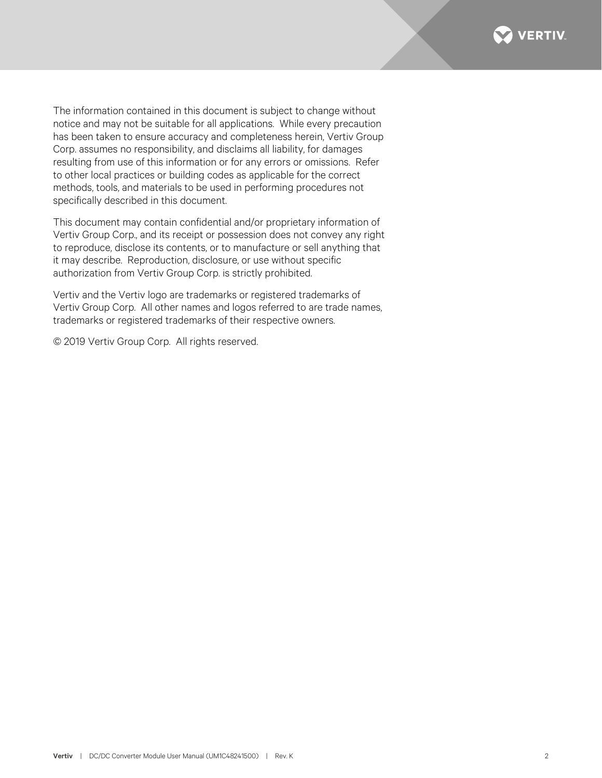

The information contained in this document is subject to change without notice and may not be suitable for all applications. While every precaution has been taken to ensure accuracy and completeness herein, Vertiv Group Corp. assumes no responsibility, and disclaims all liability, for damages resulting from use of this information or for any errors or omissions. Refer to other local practices or building codes as applicable for the correct methods, tools, and materials to be used in performing procedures not specifically described in this document.

This document may contain confidential and/or proprietary information of Vertiv Group Corp., and its receipt or possession does not convey any right to reproduce, disclose its contents, or to manufacture or sell anything that it may describe. Reproduction, disclosure, or use without specific authorization from Vertiv Group Corp. is strictly prohibited.

Vertiv and the Vertiv logo are trademarks or registered trademarks of Vertiv Group Corp. All other names and logos referred to are trade names, trademarks or registered trademarks of their respective owners.

© 2019 Vertiv Group Corp. All rights reserved.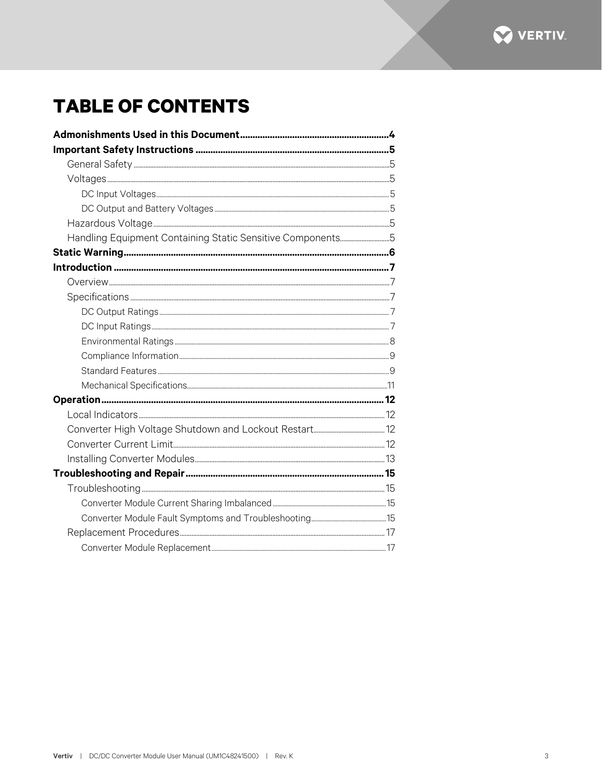

# **TABLE OF CONTENTS**

| Handling Equipment Containing Static Sensitive Components5 |  |
|------------------------------------------------------------|--|
|                                                            |  |
|                                                            |  |
|                                                            |  |
|                                                            |  |
|                                                            |  |
|                                                            |  |
|                                                            |  |
|                                                            |  |
|                                                            |  |
|                                                            |  |
|                                                            |  |
|                                                            |  |
|                                                            |  |
|                                                            |  |
|                                                            |  |
|                                                            |  |
|                                                            |  |
|                                                            |  |
|                                                            |  |
|                                                            |  |
|                                                            |  |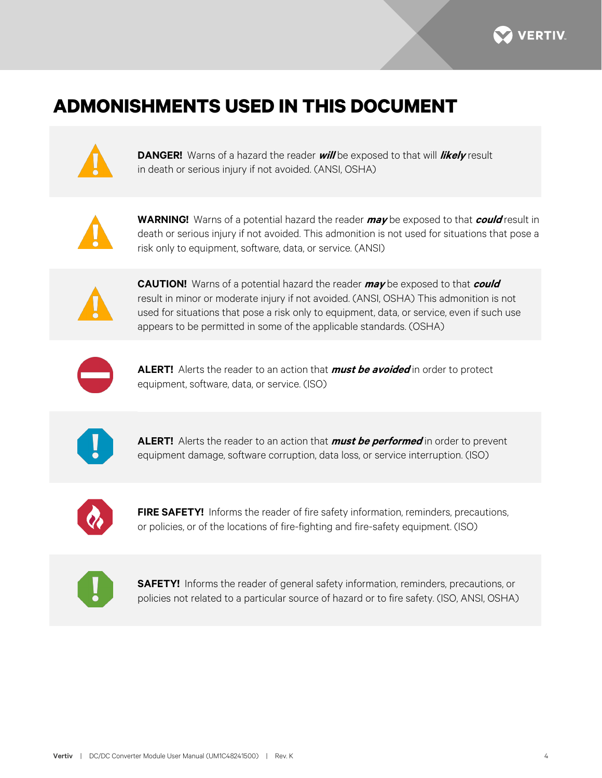

# <span id="page-3-0"></span>**ADMONISHMENTS USED IN THIS DOCUMENT**



**DANGER!** Warns of a hazard the reader **will** be exposed to that will **likely** result in death or serious injury if not avoided. (ANSI, OSHA)



**WARNING!** Warns of a potential hazard the reader **may** be exposed to that **could** result in death or serious injury if not avoided. This admonition is not used for situations that pose a risk only to equipment, software, data, or service. (ANSI)



**CAUTION!** Warns of a potential hazard the reader **may** be exposed to that **could** result in minor or moderate injury if not avoided. (ANSI, OSHA) This admonition is not used for situations that pose a risk only to equipment, data, or service, even if such use appears to be permitted in some of the applicable standards. (OSHA)



**ALERT!** Alerts the reader to an action that **must be avoided** in order to protect equipment, software, data, or service. (ISO)



**ALERT!** Alerts the reader to an action that **must be performed** in order to prevent equipment damage, software corruption, data loss, or service interruption. (ISO)



**FIRE SAFETY!** Informs the reader of fire safety information, reminders, precautions, or policies, or of the locations of fire-fighting and fire-safety equipment. (ISO)



**SAFETY!** Informs the reader of general safety information, reminders, precautions, or policies not related to a particular source of hazard or to fire safety. (ISO, ANSI, OSHA)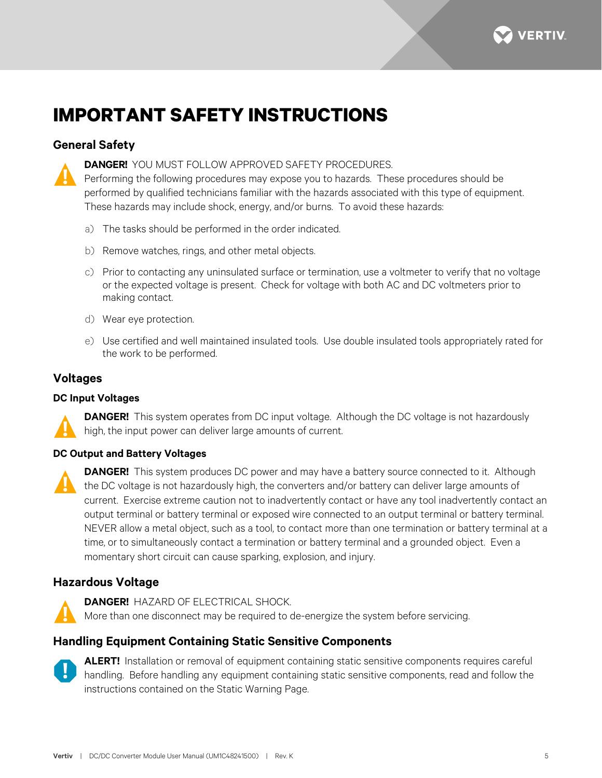

# <span id="page-4-0"></span>**IMPORTANT SAFETY INSTRUCTIONS**

## <span id="page-4-1"></span>**General Safety**



**DANGER!** YOU MUST FOLLOW APPROVED SAFETY PROCEDURES.

Performing the following procedures may expose you to hazards. These procedures should be performed by qualified technicians familiar with the hazards associated with this type of equipment. These hazards may include shock, energy, and/or burns. To avoid these hazards:

- a) The tasks should be performed in the order indicated.
- b) Remove watches, rings, and other metal objects.
- c) Prior to contacting any uninsulated surface or termination, use a voltmeter to verify that no voltage or the expected voltage is present. Check for voltage with both AC and DC voltmeters prior to making contact.
- d) Wear eye protection.
- e) Use certified and well maintained insulated tools. Use double insulated tools appropriately rated for the work to be performed.

## <span id="page-4-2"></span>**Voltages**

#### <span id="page-4-3"></span>**DC Input Voltages**

**DANGER!** This system operates from DC input voltage. Although the DC voltage is not hazardously high, the input power can deliver large amounts of current.

### <span id="page-4-4"></span>**DC Output and Battery Voltages**



**DANGER!** This system produces DC power and may have a battery source connected to it. Although the DC voltage is not hazardously high, the converters and/or battery can deliver large amounts of current. Exercise extreme caution not to inadvertently contact or have any tool inadvertently contact an output terminal or battery terminal or exposed wire connected to an output terminal or battery terminal. NEVER allow a metal object, such as a tool, to contact more than one termination or battery terminal at a time, or to simultaneously contact a termination or battery terminal and a grounded object. Even a momentary short circuit can cause sparking, explosion, and injury.

## <span id="page-4-5"></span>**Hazardous Voltage**



**DANGER!** HAZARD OF ELECTRICAL SHOCK. More than one disconnect may be required to de-energize the system before servicing.

# <span id="page-4-6"></span>**Handling Equipment Containing Static Sensitive Components**



**ALERT!** Installation or removal of equipment containing static sensitive components requires careful handling. Before handling any equipment containing static sensitive components, read and follow the instructions contained on the Static Warning Page.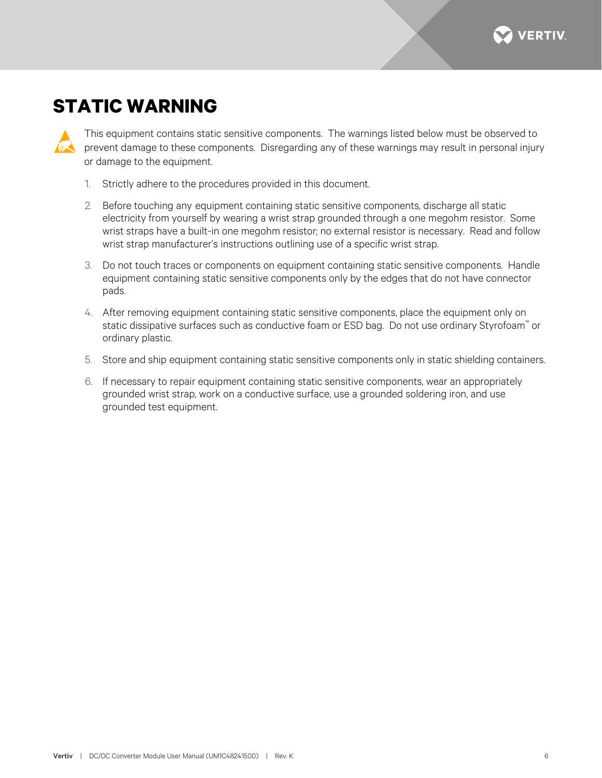

# <span id="page-5-0"></span>**STATIC WARNING**

This equipment contains static sensitive components. The warnings listed below must be observed to prevent damage to these components. Disregarding any of these warnings may result in personal injury or damage to the equipment.

- 1. Strictly adhere to the procedures provided in this document.
- 2. Before touching any equipment containing static sensitive components, discharge all static electricity from yourself by wearing a wrist strap grounded through a one megohm resistor. Some wrist straps have a built-in one megohm resistor; no external resistor is necessary. Read and follow wrist strap manufacturer's instructions outlining use of a specific wrist strap.
- 3. Do not touch traces or components on equipment containing static sensitive components. Handle equipment containing static sensitive components only by the edges that do not have connector pads.
- 4. After removing equipment containing static sensitive components, place the equipment only on static dissipative surfaces such as conductive foam or ESD bag. Do not use ordinary Styrofoam™ or ordinary plastic.
- 5. Store and ship equipment containing static sensitive components only in static shielding containers.
- 6. If necessary to repair equipment containing static sensitive components, wear an appropriately grounded wrist strap, work on a conductive surface, use a grounded soldering iron, and use grounded test equipment.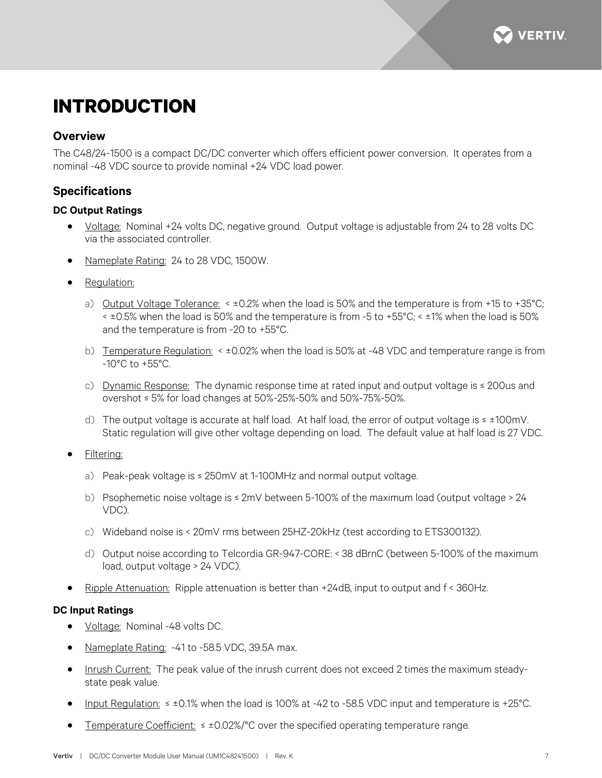

# <span id="page-6-0"></span>**INTRODUCTION**

### <span id="page-6-1"></span>**Overview**

The C48/24-1500 is a compact DC/DC converter which offers efficient power conversion. It operates from a nominal -48 VDC source to provide nominal +24 VDC load power.

## <span id="page-6-2"></span>**Specifications**

#### <span id="page-6-3"></span>**DC Output Ratings**

- Voltage: Nominal +24 volts DC, negative ground. Output voltage is adjustable from 24 to 28 volts DC via the associated controller.
- Nameplate Rating: 24 to 28 VDC, 1500W.
- Regulation:
	- a) Output Voltage Tolerance: < ±0.2% when the load is 50% and the temperature is from +15 to +35°C; < ±0.5% when the load is 50% and the temperature is from -5 to +55°C; < ±1% when the load is 50% and the temperature is from -20 to +55°C.
	- b) Temperature Regulation: < ±0.02% when the load is 50% at -48 VDC and temperature range is from -10°C to +55°C.
	- c) Dynamic Response: The dynamic response time at rated input and output voltage is ≤ 200us and overshot ≤ 5% for load changes at 50%-25%-50% and 50%-75%-50%.
	- d) The output voltage is accurate at half load. At half load, the error of output voltage is ≤ ±100mV. Static regulation will give other voltage depending on load. The default value at half load is 27 VDC.

Filtering:

- a) Peak-peak voltage is ≤ 250mV at 1-100MHz and normal output voltage.
- b) Psophemetic noise voltage is ≤ 2mV between 5-100% of the maximum load (output voltage > 24 VDC).
- c) Wideband noise is < 20mV rms between 25HZ-20kHz (test according to ETS300132).
- d) Output noise according to Telcordia GR-947-CORE: < 38 dBrnC (between 5-100% of the maximum load, output voltage > 24 VDC).
- Ripple Attenuation: Ripple attenuation is better than +24dB, input to output and f < 360Hz.

### <span id="page-6-4"></span>**DC Input Ratings**

- Voltage: Nominal -48 volts DC.
- Nameplate Rating: -41 to -58.5 VDC, 39.5A max.
- Inrush Current: The peak value of the inrush current does not exceed 2 times the maximum steadystate peak value.
- Input Regulation: ≤ ±0.1% when the load is 100% at -42 to -58.5 VDC input and temperature is +25°C.
- Temperature Coefficient: ≤ ±0.02%/°C over the specified operating temperature range.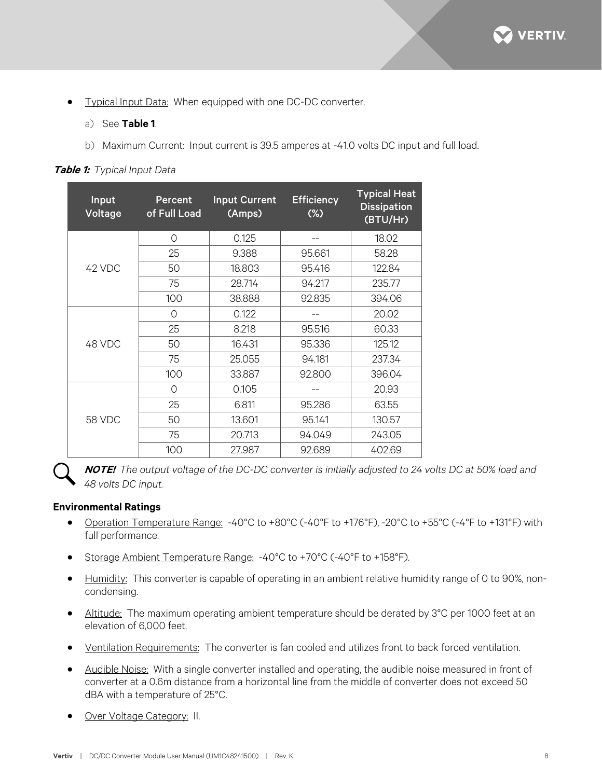

- Typical Input Data: When equipped with one DC-DC converter.
	- a) See **[Table 1](#page-7-1)**.
	- b) Maximum Current: Input current is 39.5 amperes at -41.0 volts DC input and full load.

<span id="page-7-1"></span>

| Table 1: Typical Input Data |  |  |  |  |  |
|-----------------------------|--|--|--|--|--|
|-----------------------------|--|--|--|--|--|

| Input<br>Voltage | Percent<br>of Full Load | <b>Input Current</b><br>(Amps) | <b>Efficiency</b><br>$(\%)$ | <b>Typical Heat</b><br><b>Dissipation</b><br>(BTU/Hr) |
|------------------|-------------------------|--------------------------------|-----------------------------|-------------------------------------------------------|
|                  | $\circ$                 | 0.125                          |                             | 18.02                                                 |
|                  | 25                      | 9.388                          | 95.661                      | 58.28                                                 |
| 42 VDC           | 50                      | 18.803                         | 95.416                      | 122.84                                                |
|                  | 75                      | 28.714                         | 94.217                      | 235.77                                                |
|                  | 100                     | 38.888                         | 92.835                      | 394.06                                                |
| 48 VDC           | $\Omega$                | 0.122                          |                             | 20.02                                                 |
|                  | 25                      | 8.218                          | 95.516                      | 60.33                                                 |
|                  | 50                      | 16.431                         | 95.336                      | 125.12                                                |
|                  | 75                      | 25.055                         | 94.181                      | 237.34                                                |
|                  | 100                     | 33.887                         | 92.800                      | 396.04                                                |
| <b>58 VDC</b>    | $\circ$                 | 0.105                          |                             | 20.93                                                 |
|                  | 25                      | 6.811                          | 95.286                      | 63.55                                                 |
|                  | 50                      | 13.601                         | 95.141                      | 130.57                                                |
|                  | 75                      | 20.713                         | 94.049                      | 243.05                                                |
|                  | 100                     | 27.987                         | 92.689                      | 402.69                                                |

**NOTE!** *The output voltage of the DC-DC converter is initially adjusted to 24 volts DC at 50% load and 48 volts DC input.*

#### <span id="page-7-0"></span>**Environmental Ratings**

- Operation Temperature Range: -40°C to +80°C (-40°F to +176°F), -20°C to +55°C (-4°F to +131°F) with full performance.
- Storage Ambient Temperature Range: -40°C to +70°C (-40°F to +158°F).
- Humidity: This converter is capable of operating in an ambient relative humidity range of 0 to 90%, noncondensing.
- Altitude: The maximum operating ambient temperature should be derated by 3°C per 1000 feet at an elevation of 6,000 feet.
- Ventilation Requirements: The converter is fan cooled and utilizes front to back forced ventilation.
- Audible Noise: With a single converter installed and operating, the audible noise measured in front of converter at a 0.6m distance from a horizontal line from the middle of converter does not exceed 50 dBA with a temperature of 25°C.
- Over Voltage Category: II.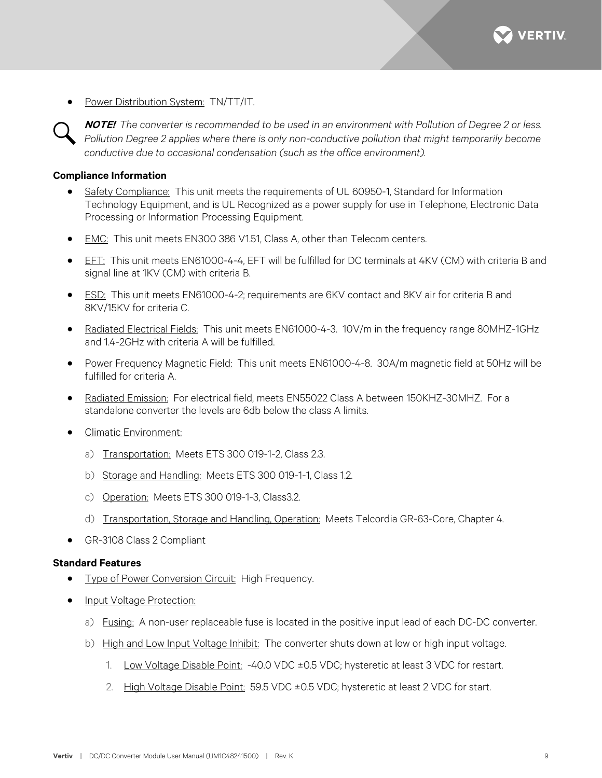

• Power Distribution System: TN/TT/IT.

**NOTE!** *The converter is recommended to be used in an environment with Pollution of Degree 2 or less. Pollution Degree 2 applies where there is only non-conductive pollution that might temporarily become conductive due to occasional condensation (such as the office environment).*

#### <span id="page-8-0"></span>**Compliance Information**

- Safety Compliance: This unit meets the requirements of UL 60950-1, Standard for Information Technology Equipment, and is UL Recognized as a power supply for use in Telephone, Electronic Data Processing or Information Processing Equipment.
- EMC: This unit meets EN300 386 V1.51, Class A, other than Telecom centers.
- EFT: This unit meets EN61000-4-4, EFT will be fulfilled for DC terminals at 4KV (CM) with criteria B and signal line at 1KV (CM) with criteria B.
- ESD: This unit meets EN61000-4-2; requirements are 6KV contact and 8KV air for criteria B and 8KV/15KV for criteria C.
- Radiated Electrical Fields: This unit meets EN61000-4-3. 10V/m in the frequency range 80MHZ-1GHz and 1.4-2GHz with criteria A will be fulfilled.
- Power Frequency Magnetic Field: This unit meets EN61000-4-8. 30A/m magnetic field at 50Hz will be fulfilled for criteria A.
- Radiated Emission: For electrical field, meets EN55022 Class A between 150KHZ-30MHZ. For a standalone converter the levels are 6db below the class A limits.
- Climatic Environment:
	- a) Transportation: Meets ETS 300 019-1-2, Class 2.3.
	- b) Storage and Handling: Meets ETS 300 019-1-1, Class 1.2.
	- c) Operation: Meets ETS 300 019-1-3, Class3.2.
	- d) Transportation, Storage and Handling, Operation: Meets Telcordia GR-63-Core, Chapter 4.
- GR-3108 Class 2 Compliant

#### <span id="page-8-1"></span>**Standard Features**

- Type of Power Conversion Circuit: High Frequency.
- Input Voltage Protection:
	- a) Fusing: A non-user replaceable fuse is located in the positive input lead of each DC-DC converter.
	- b) High and Low Input Voltage Inhibit: The converter shuts down at low or high input voltage.
		- 1. Low Voltage Disable Point: -40.0 VDC ±0.5 VDC; hysteretic at least 3 VDC for restart.
		- 2. High Voltage Disable Point: 59.5 VDC ±0.5 VDC; hysteretic at least 2 VDC for start.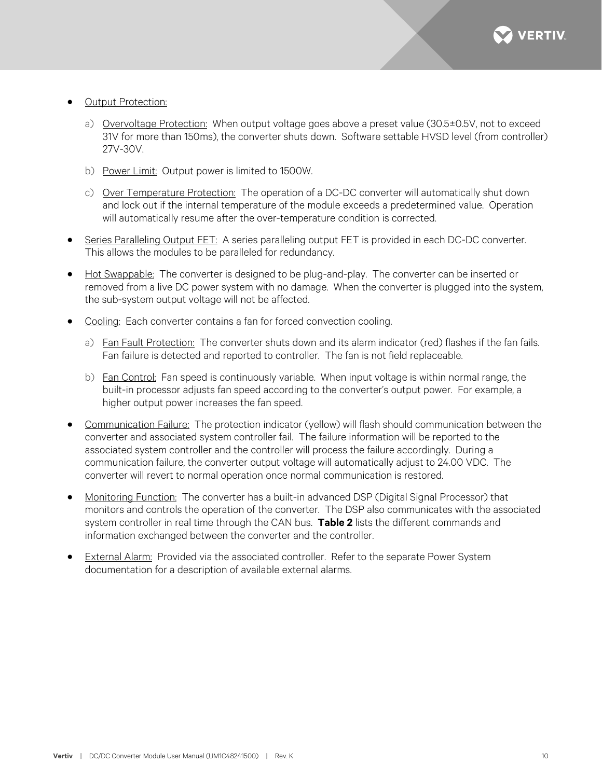

- **Output Protection:** 
	- a) Overvoltage Protection: When output voltage goes above a preset value (30.5±0.5V, not to exceed 31V for more than 150ms), the converter shuts down. Software settable HVSD level (from controller) 27V-30V.
	- b) Power Limit: Output power is limited to 1500W.
	- c) Over Temperature Protection: The operation of a DC-DC converter will automatically shut down and lock out if the internal temperature of the module exceeds a predetermined value. Operation will automatically resume after the over-temperature condition is corrected.
- Series Paralleling Output FET: A series paralleling output FET is provided in each DC-DC converter. This allows the modules to be paralleled for redundancy.
- Hot Swappable: The converter is designed to be plug-and-play. The converter can be inserted or removed from a live DC power system with no damage. When the converter is plugged into the system, the sub-system output voltage will not be affected.
- Cooling: Each converter contains a fan for forced convection cooling.
	- a) Fan Fault Protection: The converter shuts down and its alarm indicator (red) flashes if the fan fails. Fan failure is detected and reported to controller. The fan is not field replaceable.
	- b) Fan Control: Fan speed is continuously variable. When input voltage is within normal range, the built-in processor adjusts fan speed according to the converter's output power. For example, a higher output power increases the fan speed.
- Communication Failure: The protection indicator (yellow) will flash should communication between the converter and associated system controller fail. The failure information will be reported to the associated system controller and the controller will process the failure accordingly. During a communication failure, the converter output voltage will automatically adjust to 24.00 VDC. The converter will revert to normal operation once normal communication is restored.
- Monitoring Function: The converter has a built-in advanced DSP (Digital Signal Processor) that monitors and controls the operation of the converter. The DSP also communicates with the associated system controller in real time through the CAN bus. **[Table 2](#page-10-1)** lists the different commands and information exchanged between the converter and the controller.
- **External Alarm:** Provided via the associated controller. Refer to the separate Power System documentation for a description of available external alarms.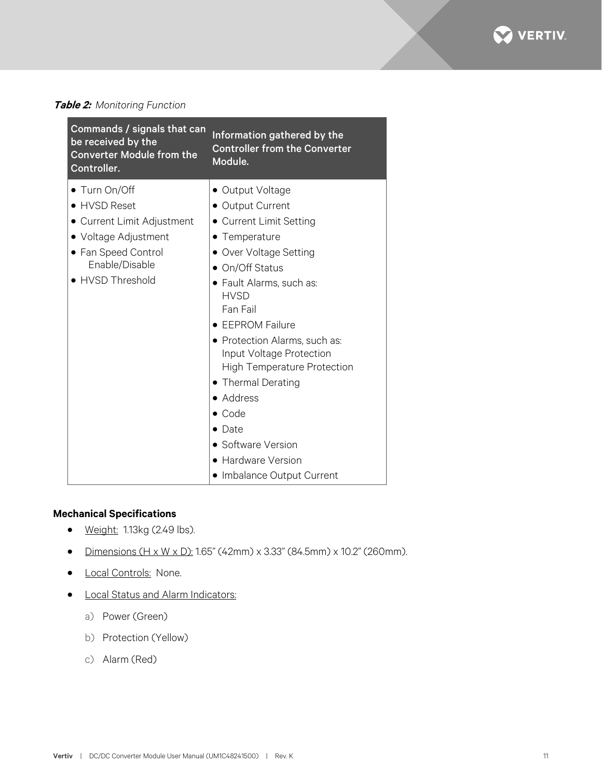

## <span id="page-10-1"></span>**Table 2:** *Monitoring Function*

| Commands / signals that can<br>be received by the<br><b>Converter Module from the</b><br>Controller.                                             | Information gathered by the<br><b>Controller from the Converter</b><br>Module.                                                                                                                                                                                                                                                                                                                                                                        |
|--------------------------------------------------------------------------------------------------------------------------------------------------|-------------------------------------------------------------------------------------------------------------------------------------------------------------------------------------------------------------------------------------------------------------------------------------------------------------------------------------------------------------------------------------------------------------------------------------------------------|
| • Turn On/Off<br>• HVSD Reset<br>• Current Limit Adjustment<br>• Voltage Adjustment<br>• Fan Speed Control<br>Enable/Disable<br>• HVSD Threshold | • Output Voltage<br>• Output Current<br>• Current Limit Setting<br>• Temperature<br>• Over Voltage Setting<br>• On/Off Status<br>Fault Alarms, such as:<br><b>HVSD</b><br>Fan Fail<br><b>EEPROM Failure</b><br>• Protection Alarms, such as:<br>Input Voltage Protection<br><b>High Temperature Protection</b><br>• Thermal Derating<br>• Address<br>• Code<br>$\bullet$ Date<br>• Software Version<br>• Hardware Version<br>Imbalance Output Current |

## <span id="page-10-0"></span>**Mechanical Specifications**

- Weight: 1.13kg (2.49 lbs).
- Dimensions  $(H \times W \times D)$ : 1.65" (42mm) x 3.33" (84.5mm) x 10.2" (260mm).
- **Local Controls: None.**
- Local Status and Alarm Indicators:
	- a) Power (Green)
	- b) Protection (Yellow)
	- c) Alarm (Red)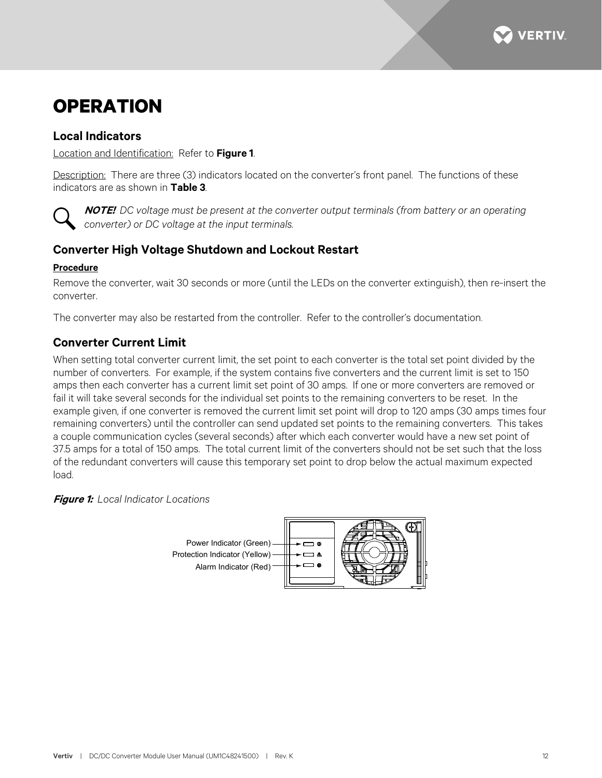

# <span id="page-11-0"></span>**OPERATION**

## <span id="page-11-1"></span>**Local Indicators**

Location and Identification: Refer to **[Figure 1](#page-11-4)**.

Description: There are three (3) indicators located on the converter's front panel. The functions of these indicators are as shown in **[Table 3](#page-12-1)**.



**NOTE!** *DC voltage must be present at the converter output terminals (from battery or an operating converter) or DC voltage at the input terminals.*

# <span id="page-11-2"></span>**Converter High Voltage Shutdown and Lockout Restart**

### **Procedure**

Remove the converter, wait 30 seconds or more (until the LEDs on the converter extinguish), then re-insert the converter.

The converter may also be restarted from the controller. Refer to the controller's documentation.

# <span id="page-11-3"></span>**Converter Current Limit**

When setting total converter current limit, the set point to each converter is the total set point divided by the number of converters. For example, if the system contains five converters and the current limit is set to 150 amps then each converter has a current limit set point of 30 amps. If one or more converters are removed or fail it will take several seconds for the individual set points to the remaining converters to be reset. In the example given, if one converter is removed the current limit set point will drop to 120 amps (30 amps times four remaining converters) until the controller can send updated set points to the remaining converters. This takes a couple communication cycles (several seconds) after which each converter would have a new set point of 37.5 amps for a total of 150 amps. The total current limit of the converters should not be set such that the loss of the redundant converters will cause this temporary set point to drop below the actual maximum expected load.

<span id="page-11-4"></span>**Figure 1:** *Local Indicator Locations*

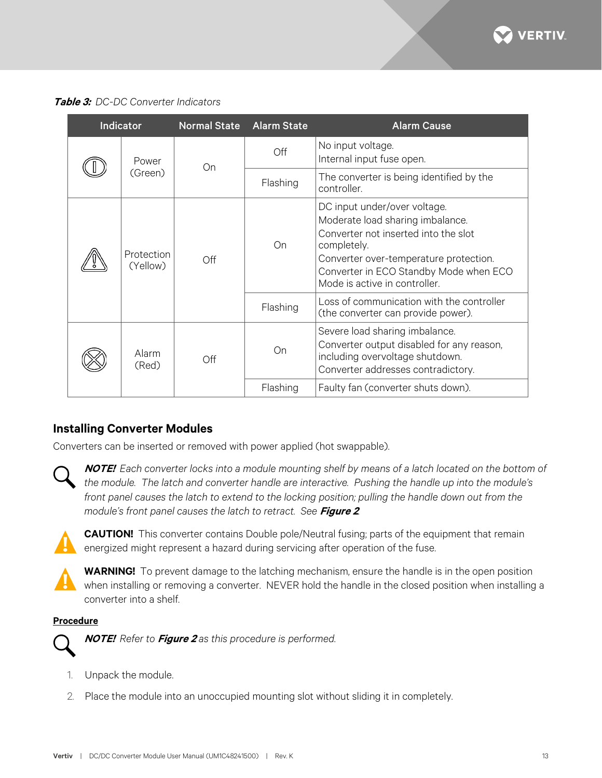

<span id="page-12-1"></span>**Table 3:** *DC-DC Converter Indicators*

|  | <b>Indicator</b>       | <b>Normal State</b> | <b>Alarm State</b>                 | <b>Alarm Cause</b>                                                                                                                                                                                                                           |
|--|------------------------|---------------------|------------------------------------|----------------------------------------------------------------------------------------------------------------------------------------------------------------------------------------------------------------------------------------------|
|  | Power<br>(Green)       | On                  | Off                                | No input voltage.<br>Internal input fuse open.                                                                                                                                                                                               |
|  |                        |                     | Flashing                           | The converter is being identified by the<br>controller.                                                                                                                                                                                      |
|  | Protection<br>(Yellow) | Off                 | On                                 | DC input under/over voltage.<br>Moderate load sharing imbalance.<br>Converter not inserted into the slot<br>completely.<br>Converter over-temperature protection.<br>Converter in ECO Standby Mode when ECO<br>Mode is active in controller. |
|  |                        |                     | Flashing                           | Loss of communication with the controller<br>(the converter can provide power).                                                                                                                                                              |
|  | Alarm<br>(Red)         | Off                 | On                                 | Severe load sharing imbalance.<br>Converter output disabled for any reason,<br>including overvoltage shutdown.<br>Converter addresses contradictory.                                                                                         |
|  |                        | Flashing            | Faulty fan (converter shuts down). |                                                                                                                                                                                                                                              |

## <span id="page-12-0"></span>**Installing Converter Modules**

Converters can be inserted or removed with power applied (hot swappable).

**NOTE!** *Each converter locks into a module mounting shelf by means of a latch located on the bottom of the module. The latch and converter handle are interactive. Pushing the handle up into the module's front panel causes the latch to extend to the locking position; pulling the handle down out from the module's front panel causes the latch to retract. See* **[Figure 2](#page-13-0)***.*



**CAUTION!** This converter contains Double pole/Neutral fusing; parts of the equipment that remain energized might represent a hazard during servicing after operation of the fuse.



**WARNING!** To prevent damage to the latching mechanism, ensure the handle is in the open position when installing or removing a converter. NEVER hold the handle in the closed position when installing a converter into a shelf.

#### **Procedure**



**NOTE!** *Refer to* **[Figure 2](#page-13-0)** *as this procedure is performed.*

- 1. Unpack the module.
- 2. Place the module into an unoccupied mounting slot without sliding it in completely.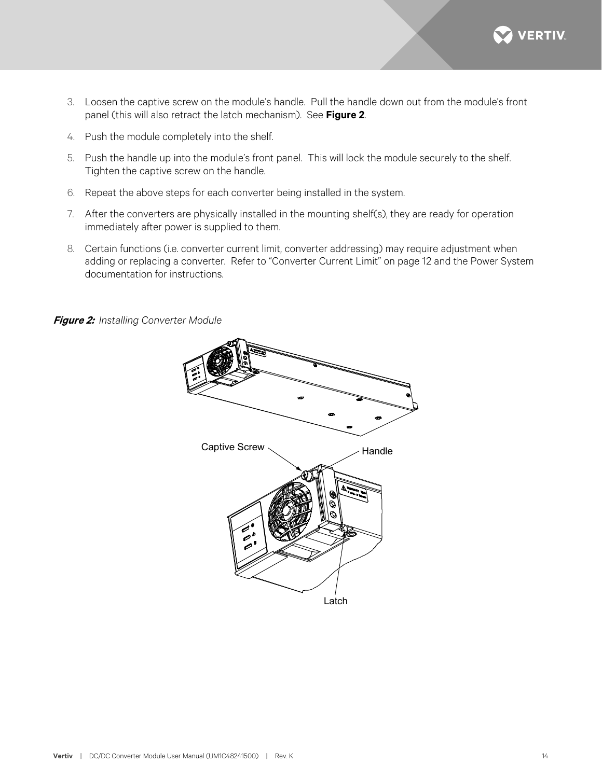

- 3. Loosen the captive screw on the module's handle. Pull the handle down out from the module's front panel (this will also retract the latch mechanism). See **[Figure 2](#page-13-0)**.
- 4. Push the module completely into the shelf.
- 5. Push the handle up into the module's front panel. This will lock the module securely to the shelf. Tighten the captive screw on the handle.
- 6. Repeat the above steps for each converter being installed in the system.
- 7. After the converters are physically installed in the mounting shelf(s), they are ready for operation immediately after power is supplied to them.
- 8. Certain functions (i.e. converter current limit, converter addressing) may require adjustment when adding or replacing a converter. Refer to ["Converter Current Limit"](#page-11-3) on page [12](#page-11-3) and the Power System documentation for instructions.

<span id="page-13-0"></span>**Figure 2:** *Installing Converter Module*

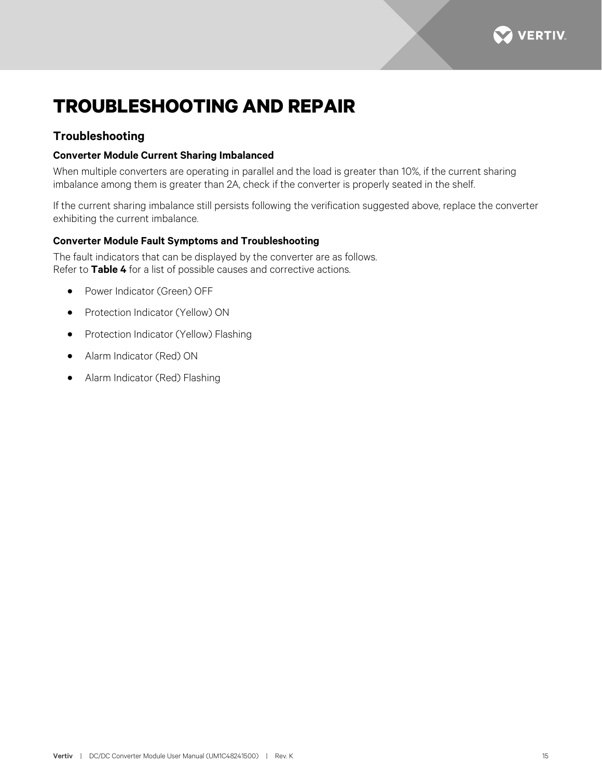

# <span id="page-14-0"></span>**TROUBLESHOOTING AND REPAIR**

# <span id="page-14-1"></span>**Troubleshooting**

### <span id="page-14-2"></span>**Converter Module Current Sharing Imbalanced**

When multiple converters are operating in parallel and the load is greater than 10%, if the current sharing imbalance among them is greater than 2A, check if the converter is properly seated in the shelf.

If the current sharing imbalance still persists following the verification suggested above, replace the converter exhibiting the current imbalance.

### <span id="page-14-3"></span>**Converter Module Fault Symptoms and Troubleshooting**

The fault indicators that can be displayed by the converter are as follows. Refer to **[Table 4](#page-15-0)** for a list of possible causes and corrective actions.

- Power Indicator (Green) OFF
- Protection Indicator (Yellow) ON
- Protection Indicator (Yellow) Flashing
- Alarm Indicator (Red) ON
- Alarm Indicator (Red) Flashing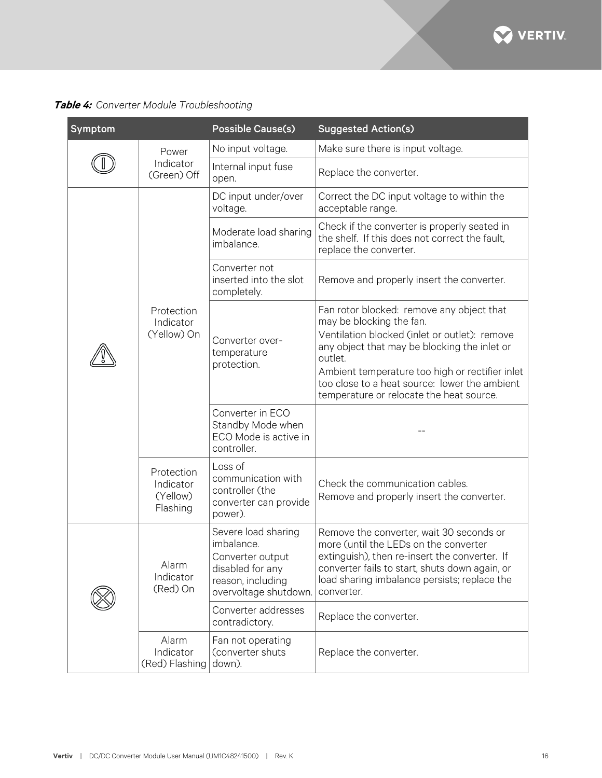

# <span id="page-15-0"></span>**Table 4:** *Converter Module Troubleshooting*

| Symptom |                                                 | <b>Possible Cause(s)</b>                                                                                                | <b>Suggested Action(s)</b>                                                                                                                                                                                                                                                                                                        |
|---------|-------------------------------------------------|-------------------------------------------------------------------------------------------------------------------------|-----------------------------------------------------------------------------------------------------------------------------------------------------------------------------------------------------------------------------------------------------------------------------------------------------------------------------------|
|         | Power                                           | No input voltage.                                                                                                       | Make sure there is input voltage.                                                                                                                                                                                                                                                                                                 |
|         | Indicator<br>(Green) Off                        | Internal input fuse<br>open.                                                                                            | Replace the converter.                                                                                                                                                                                                                                                                                                            |
|         |                                                 | DC input under/over<br>voltage.                                                                                         | Correct the DC input voltage to within the<br>acceptable range.                                                                                                                                                                                                                                                                   |
|         | Protection<br>Indicator<br>(Yellow) On          | Moderate load sharing<br>imbalance.                                                                                     | Check if the converter is properly seated in<br>the shelf. If this does not correct the fault,<br>replace the converter.                                                                                                                                                                                                          |
|         |                                                 | Converter not<br>inserted into the slot<br>completely.                                                                  | Remove and properly insert the converter.                                                                                                                                                                                                                                                                                         |
|         |                                                 | Converter over-<br>temperature<br>protection.                                                                           | Fan rotor blocked: remove any object that<br>may be blocking the fan.<br>Ventilation blocked (inlet or outlet): remove<br>any object that may be blocking the inlet or<br>outlet.<br>Ambient temperature too high or rectifier inlet<br>too close to a heat source: lower the ambient<br>temperature or relocate the heat source. |
|         |                                                 | Converter in ECO<br>Standby Mode when<br>ECO Mode is active in<br>controller.                                           |                                                                                                                                                                                                                                                                                                                                   |
|         | Protection<br>Indicator<br>(Yellow)<br>Flashing | Loss of<br>communication with<br>controller (the<br>converter can provide<br>power).                                    | Check the communication cables.<br>Remove and properly insert the converter.                                                                                                                                                                                                                                                      |
|         | Alarm<br>Indicator<br>(Red) On                  | Severe load sharing<br>imbalance.<br>Converter output<br>disabled for any<br>reason, including<br>overvoltage shutdown. | Remove the converter, wait 30 seconds or<br>more (until the LEDs on the converter<br>extinguish), then re-insert the converter. If<br>converter fails to start, shuts down again, or<br>load sharing imbalance persists; replace the<br>converter.                                                                                |
|         |                                                 | Converter addresses<br>contradictory.                                                                                   | Replace the converter.                                                                                                                                                                                                                                                                                                            |
|         | Alarm<br>Indicator<br>(Red) Flashing            | Fan not operating<br>(converter shuts<br>down).                                                                         | Replace the converter.                                                                                                                                                                                                                                                                                                            |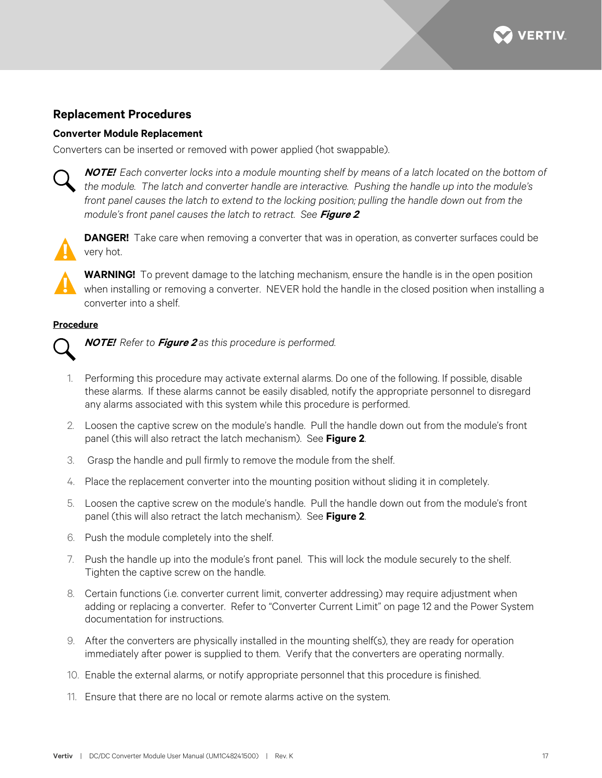

### <span id="page-16-0"></span>**Replacement Procedures**

#### <span id="page-16-1"></span>**Converter Module Replacement**

Converters can be inserted or removed with power applied (hot swappable).



**NOTE!** *Each converter locks into a module mounting shelf by means of a latch located on the bottom of the module. The latch and converter handle are interactive. Pushing the handle up into the module's front panel causes the latch to extend to the locking position; pulling the handle down out from the module's front panel causes the latch to retract. See* **[Figure 2](#page-13-0)***.*

**DANGER!** Take care when removing a converter that was in operation, as converter surfaces could be very hot.



**WARNING!** To prevent damage to the latching mechanism, ensure the handle is in the open position when installing or removing a converter. NEVER hold the handle in the closed position when installing a converter into a shelf.

#### **Procedure**



**NOTE!** *Refer to* **[Figure 2](#page-13-0)** *as this procedure is performed.*

- 1. Performing this procedure may activate external alarms. Do one of the following. If possible, disable these alarms. If these alarms cannot be easily disabled, notify the appropriate personnel to disregard any alarms associated with this system while this procedure is performed.
- 2. Loosen the captive screw on the module's handle. Pull the handle down out from the module's front panel (this will also retract the latch mechanism). See **[Figure 2](#page-13-0)**.
- 3. Grasp the handle and pull firmly to remove the module from the shelf.
- 4. Place the replacement converter into the mounting position without sliding it in completely.
- 5. Loosen the captive screw on the module's handle. Pull the handle down out from the module's front panel (this will also retract the latch mechanism). See **[Figure 2](#page-13-0)**.
- 6. Push the module completely into the shelf.
- 7. Push the handle up into the module's front panel. This will lock the module securely to the shelf. Tighten the captive screw on the handle.
- 8. Certain functions (i.e. converter current limit, converter addressing) may require adjustment when adding or replacing a converter. Refer to ["Converter Current Limit"](#page-11-3) on page [12](#page-11-3) and the Power System documentation for instructions.
- 9. After the converters are physically installed in the mounting shelf(s), they are ready for operation immediately after power is supplied to them. Verify that the converters are operating normally.
- 10. Enable the external alarms, or notify appropriate personnel that this procedure is finished.
- 11. Ensure that there are no local or remote alarms active on the system.